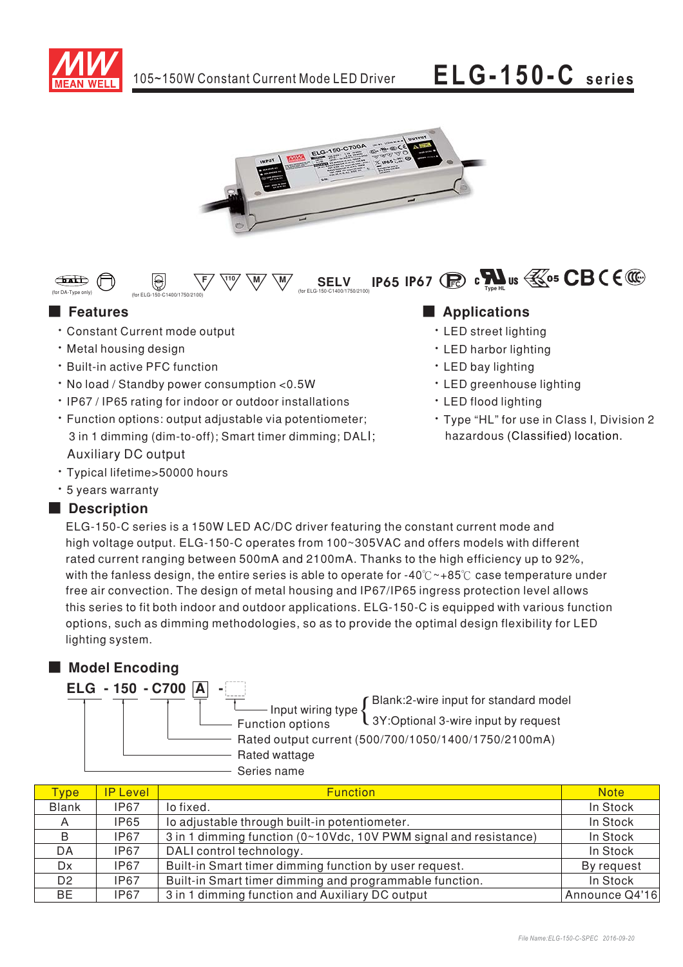

### **ELG-150-C** series



#### **IP65 IP67** (**R**)  $\mathbf{c}$   $\mathbf{M}$  us  $\mathbf{\mathbb{K}}$ <sup>05</sup> CB (  $\mathbf{\mathbb{C}}$  $\bigoplus$  $\bigcirc$ **SELV**

## **E** Features

- \* Constant Current mode output
- · Metal housing design
- · Built-in active PFC function
- . No load / Standby power consumption <0.5W
- . IP67 / IP65 rating for indoor or outdoor installations
- · Function options: output adjustable via potentiometer; 3 in 1 dimming (dim-to-off); Smart timer dimming; DALI; **Auxiliary DC output**
- \* Typical lifetime>50000 hours
- \* 5 years warranty

## Description

## Applications

- · LED street lighting
- · LED harbor lighting
- · LED bay lighting
- · LED greenhouse lighting
- · LED flood lighting
- · Type "HL" for use in Class I, Division 2 hazardous (Classified) location.

ELG-150-C series is a 150W LED AC/DC driver featuring the constant current mode and high voltage output. ELG-150-C operates from 100~305VAC and offers models with different rated current ranging between 500mA and 2100mA. Thanks to the high efficiency up to 92%, with the fanless design, the entire series is able to operate for -40 $\degree$ C +85 $\degree$ C case temperature under free air convection. The design of metal housing and IP67/IP65 ingress protection level allows this series to fit both indoor and outdoor applications. ELG-150-C is equipped with various function options, such as dimming methodologies, so as to provide the optimal design flexibility for LED lighting system.

## Model Encoding



| <b>Type</b>    | <b>IP Level</b> | <b>Function</b>                                                  | <b>Note</b>    |
|----------------|-----------------|------------------------------------------------------------------|----------------|
| <b>Blank</b>   | IP67            | lo fixed.                                                        | In Stock       |
| A              | <b>IP65</b>     | lo adjustable through built-in potentiometer.                    | In Stock       |
| B              | IP67            | 3 in 1 dimming function (0~10Vdc, 10V PWM signal and resistance) | In Stock       |
| DA.            | <b>IP67</b>     | DALI control technology.                                         | In Stock       |
| Dx.            | IP67            | Built-in Smart timer dimming function by user request.           | By request     |
| D <sub>2</sub> | <b>IP67</b>     | Built-in Smart timer dimming and programmable function.          | In Stock       |
| BE             | <b>IP67</b>     | 3 in 1 dimming function and Auxiliary DC output                  | Announce Q4'16 |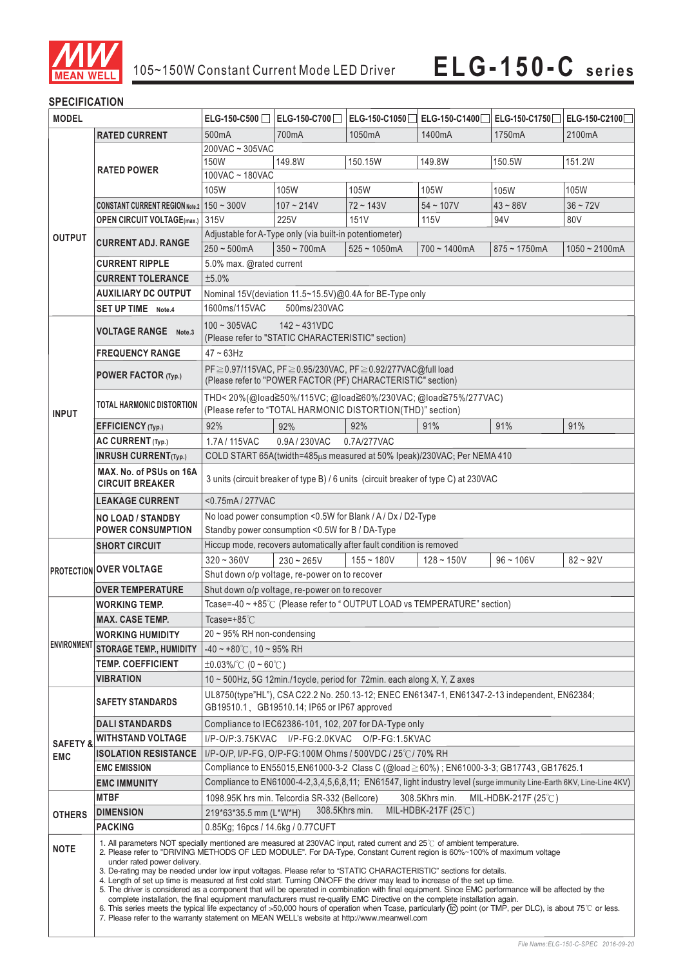

### **SPECIFICATION**

| <b>MODEL</b>                                                                             |                                                                                                                                                              | ELG-150-C500                                                                                                                                                                                                                                                                                                                                                                                                                                                                                                                                                                                                                                                                                                                                                                                                                                                                                                                      | ELG-150-C700                                            | ELG-150-C1050                                                                                                            | ELG-150-C1400                                                | ELG-150-C1750□ ELG-150-C2100□ |                 |  |
|------------------------------------------------------------------------------------------|--------------------------------------------------------------------------------------------------------------------------------------------------------------|-----------------------------------------------------------------------------------------------------------------------------------------------------------------------------------------------------------------------------------------------------------------------------------------------------------------------------------------------------------------------------------------------------------------------------------------------------------------------------------------------------------------------------------------------------------------------------------------------------------------------------------------------------------------------------------------------------------------------------------------------------------------------------------------------------------------------------------------------------------------------------------------------------------------------------------|---------------------------------------------------------|--------------------------------------------------------------------------------------------------------------------------|--------------------------------------------------------------|-------------------------------|-----------------|--|
|                                                                                          | <b>RATED CURRENT</b>                                                                                                                                         | 500mA                                                                                                                                                                                                                                                                                                                                                                                                                                                                                                                                                                                                                                                                                                                                                                                                                                                                                                                             | 700mA                                                   | 1050mA                                                                                                                   | 1400mA                                                       | 1750mA                        | 2100mA          |  |
|                                                                                          |                                                                                                                                                              | 200VAC ~ 305VAC                                                                                                                                                                                                                                                                                                                                                                                                                                                                                                                                                                                                                                                                                                                                                                                                                                                                                                                   |                                                         |                                                                                                                          |                                                              |                               |                 |  |
|                                                                                          |                                                                                                                                                              | 150W                                                                                                                                                                                                                                                                                                                                                                                                                                                                                                                                                                                                                                                                                                                                                                                                                                                                                                                              | 149.8W                                                  | 150.15W                                                                                                                  | 149.8W                                                       | 150.5W                        | 151.2W          |  |
|                                                                                          | <b>RATED POWER</b>                                                                                                                                           | 100VAC ~ 180VAC                                                                                                                                                                                                                                                                                                                                                                                                                                                                                                                                                                                                                                                                                                                                                                                                                                                                                                                   |                                                         |                                                                                                                          |                                                              |                               |                 |  |
|                                                                                          |                                                                                                                                                              | 105W                                                                                                                                                                                                                                                                                                                                                                                                                                                                                                                                                                                                                                                                                                                                                                                                                                                                                                                              | 105W                                                    | 105W                                                                                                                     | 105W                                                         | 105W                          | 105W            |  |
|                                                                                          | <b>CONSTANT CURRENT REGION Note.2   150 ~ 300V</b>                                                                                                           |                                                                                                                                                                                                                                                                                                                                                                                                                                                                                                                                                                                                                                                                                                                                                                                                                                                                                                                                   | $107 - 214V$                                            | 72~143V                                                                                                                  | $54 - 107V$                                                  | $43 - 86V$                    | $36 - 72V$      |  |
|                                                                                          | <b>OPEN CIRCUIT VOLTAGE(max.)</b>                                                                                                                            | 315V                                                                                                                                                                                                                                                                                                                                                                                                                                                                                                                                                                                                                                                                                                                                                                                                                                                                                                                              | 225V                                                    | 151V                                                                                                                     | 115V                                                         | 94 V                          | 80V             |  |
| <b>OUTPUT</b>                                                                            |                                                                                                                                                              |                                                                                                                                                                                                                                                                                                                                                                                                                                                                                                                                                                                                                                                                                                                                                                                                                                                                                                                                   | Adjustable for A-Type only (via built-in potentiometer) |                                                                                                                          |                                                              |                               |                 |  |
|                                                                                          | <b>CURRENT ADJ. RANGE</b>                                                                                                                                    | $250 - 500$ mA                                                                                                                                                                                                                                                                                                                                                                                                                                                                                                                                                                                                                                                                                                                                                                                                                                                                                                                    | $350 - 700$ mA                                          | $525 - 1050$ mA                                                                                                          | $700 - 1400$ mA                                              | $875 - 1750$ mA               | $1050 - 2100mA$ |  |
|                                                                                          | <b>CURRENT RIPPLE</b>                                                                                                                                        | 5.0% max. @rated current                                                                                                                                                                                                                                                                                                                                                                                                                                                                                                                                                                                                                                                                                                                                                                                                                                                                                                          |                                                         |                                                                                                                          |                                                              |                               |                 |  |
|                                                                                          | <b>CURRENT TOLERANCE</b>                                                                                                                                     | ±5.0%                                                                                                                                                                                                                                                                                                                                                                                                                                                                                                                                                                                                                                                                                                                                                                                                                                                                                                                             |                                                         |                                                                                                                          |                                                              |                               |                 |  |
|                                                                                          | <b>AUXILIARY DC OUTPUT</b>                                                                                                                                   | Nominal 15V(deviation 11.5~15.5V)@0.4A for BE-Type only                                                                                                                                                                                                                                                                                                                                                                                                                                                                                                                                                                                                                                                                                                                                                                                                                                                                           |                                                         |                                                                                                                          |                                                              |                               |                 |  |
|                                                                                          | <b>SET UP TIME</b> Note.4                                                                                                                                    | 1600ms/115VAC<br>500ms/230VAC                                                                                                                                                                                                                                                                                                                                                                                                                                                                                                                                                                                                                                                                                                                                                                                                                                                                                                     |                                                         |                                                                                                                          |                                                              |                               |                 |  |
|                                                                                          |                                                                                                                                                              |                                                                                                                                                                                                                                                                                                                                                                                                                                                                                                                                                                                                                                                                                                                                                                                                                                                                                                                                   |                                                         |                                                                                                                          |                                                              |                               |                 |  |
|                                                                                          | <b>VOLTAGE RANGE</b> Note.3                                                                                                                                  | $100 - 305$ VAC                                                                                                                                                                                                                                                                                                                                                                                                                                                                                                                                                                                                                                                                                                                                                                                                                                                                                                                   | $142 - 431VDC$                                          |                                                                                                                          |                                                              |                               |                 |  |
|                                                                                          |                                                                                                                                                              | (Please refer to "STATIC CHARACTERISTIC" section)                                                                                                                                                                                                                                                                                                                                                                                                                                                                                                                                                                                                                                                                                                                                                                                                                                                                                 |                                                         |                                                                                                                          |                                                              |                               |                 |  |
|                                                                                          | <b>FREQUENCY RANGE</b>                                                                                                                                       | $47 - 63$ Hz                                                                                                                                                                                                                                                                                                                                                                                                                                                                                                                                                                                                                                                                                                                                                                                                                                                                                                                      |                                                         |                                                                                                                          |                                                              |                               |                 |  |
|                                                                                          | POWER FACTOR (Typ.)                                                                                                                                          |                                                                                                                                                                                                                                                                                                                                                                                                                                                                                                                                                                                                                                                                                                                                                                                                                                                                                                                                   |                                                         | PF≥0.97/115VAC, PF≥0.95/230VAC, PF≥0.92/277VAC@full load<br>(Please refer to "POWER FACTOR (PF) CHARACTERISTIC" section) |                                                              |                               |                 |  |
|                                                                                          |                                                                                                                                                              |                                                                                                                                                                                                                                                                                                                                                                                                                                                                                                                                                                                                                                                                                                                                                                                                                                                                                                                                   |                                                         |                                                                                                                          |                                                              |                               |                 |  |
|                                                                                          | <b>TOTAL HARMONIC DISTORTION</b>                                                                                                                             |                                                                                                                                                                                                                                                                                                                                                                                                                                                                                                                                                                                                                                                                                                                                                                                                                                                                                                                                   |                                                         | (Please refer to "TOTAL HARMONIC DISTORTION(THD)" section)                                                               | THD<20%(@load≧50%/115VC; @load≧60%/230VAC; @load≧75%/277VAC) |                               |                 |  |
| <b>INPUT</b>                                                                             |                                                                                                                                                              |                                                                                                                                                                                                                                                                                                                                                                                                                                                                                                                                                                                                                                                                                                                                                                                                                                                                                                                                   |                                                         |                                                                                                                          |                                                              |                               |                 |  |
|                                                                                          | <b>EFFICIENCY</b> (Typ.)                                                                                                                                     | 92%                                                                                                                                                                                                                                                                                                                                                                                                                                                                                                                                                                                                                                                                                                                                                                                                                                                                                                                               | 92%                                                     | 92%                                                                                                                      | 91%                                                          | 91%                           | 91%             |  |
|                                                                                          | AC CURRENT (Typ.)                                                                                                                                            | 1.7A / 115VAC<br>0.9A / 230VAC<br>0.7A/277VAC                                                                                                                                                                                                                                                                                                                                                                                                                                                                                                                                                                                                                                                                                                                                                                                                                                                                                     |                                                         |                                                                                                                          |                                                              |                               |                 |  |
|                                                                                          | <b>INRUSH CURRENT(Typ.)</b>                                                                                                                                  | COLD START 65A(twidth=485µs measured at 50% Ipeak)/230VAC; Per NEMA 410                                                                                                                                                                                                                                                                                                                                                                                                                                                                                                                                                                                                                                                                                                                                                                                                                                                           |                                                         |                                                                                                                          |                                                              |                               |                 |  |
|                                                                                          | MAX. No. of PSUs on 16A<br><b>CIRCUIT BREAKER</b>                                                                                                            | 3 units (circuit breaker of type B) / 6 units (circuit breaker of type C) at 230VAC                                                                                                                                                                                                                                                                                                                                                                                                                                                                                                                                                                                                                                                                                                                                                                                                                                               |                                                         |                                                                                                                          |                                                              |                               |                 |  |
|                                                                                          | <b>LEAKAGE CURRENT</b>                                                                                                                                       | <0.75mA/277VAC                                                                                                                                                                                                                                                                                                                                                                                                                                                                                                                                                                                                                                                                                                                                                                                                                                                                                                                    |                                                         |                                                                                                                          |                                                              |                               |                 |  |
| No load power consumption <0.5W for Blank / A / Dx / D2-Type<br><b>NO LOAD / STANDBY</b> |                                                                                                                                                              |                                                                                                                                                                                                                                                                                                                                                                                                                                                                                                                                                                                                                                                                                                                                                                                                                                                                                                                                   |                                                         |                                                                                                                          |                                                              |                               |                 |  |
|                                                                                          | <b>POWER CONSUMPTION</b>                                                                                                                                     | Standby power consumption <0.5W for B / DA-Type                                                                                                                                                                                                                                                                                                                                                                                                                                                                                                                                                                                                                                                                                                                                                                                                                                                                                   |                                                         |                                                                                                                          |                                                              |                               |                 |  |
|                                                                                          | <b>SHORT CIRCUIT</b>                                                                                                                                         |                                                                                                                                                                                                                                                                                                                                                                                                                                                                                                                                                                                                                                                                                                                                                                                                                                                                                                                                   |                                                         | Hiccup mode, recovers automatically after fault condition is removed                                                     |                                                              |                               |                 |  |
|                                                                                          | <b>PROTECTION OVER VOLTAGE</b>                                                                                                                               | $320 - 360V$                                                                                                                                                                                                                                                                                                                                                                                                                                                                                                                                                                                                                                                                                                                                                                                                                                                                                                                      | $230 - 265V$                                            | $155 - 180V$                                                                                                             | $128 - 150V$                                                 | $96 - 106V$                   | $82 - 92V$      |  |
|                                                                                          |                                                                                                                                                              | Shut down o/p voltage, re-power on to recover                                                                                                                                                                                                                                                                                                                                                                                                                                                                                                                                                                                                                                                                                                                                                                                                                                                                                     |                                                         |                                                                                                                          |                                                              |                               |                 |  |
|                                                                                          | <b>OVER TEMPERATURE</b>                                                                                                                                      | Shut down o/p voltage, re-power on to recover                                                                                                                                                                                                                                                                                                                                                                                                                                                                                                                                                                                                                                                                                                                                                                                                                                                                                     |                                                         |                                                                                                                          |                                                              |                               |                 |  |
|                                                                                          | <b>WORKING TEMP.</b>                                                                                                                                         | Tcase=-40 ~ +85℃ (Please refer to "OUTPUT LOAD vs TEMPERATURE" section)                                                                                                                                                                                                                                                                                                                                                                                                                                                                                                                                                                                                                                                                                                                                                                                                                                                           |                                                         |                                                                                                                          |                                                              |                               |                 |  |
|                                                                                          | <b>MAX. CASE TEMP.</b>                                                                                                                                       | Tcase= $+85^{\circ}$ C                                                                                                                                                                                                                                                                                                                                                                                                                                                                                                                                                                                                                                                                                                                                                                                                                                                                                                            |                                                         |                                                                                                                          |                                                              |                               |                 |  |
|                                                                                          | <b>WORKING HUMIDITY</b>                                                                                                                                      | 20 ~ 95% RH non-condensing                                                                                                                                                                                                                                                                                                                                                                                                                                                                                                                                                                                                                                                                                                                                                                                                                                                                                                        |                                                         |                                                                                                                          |                                                              |                               |                 |  |
| <b>ENVIRONMENT</b>                                                                       | <b>STORAGE TEMP., HUMIDITY</b>                                                                                                                               | $-40 \sim +80^{\circ}$ C, 10 ~ 95% RH                                                                                                                                                                                                                                                                                                                                                                                                                                                                                                                                                                                                                                                                                                                                                                                                                                                                                             |                                                         |                                                                                                                          |                                                              |                               |                 |  |
|                                                                                          | <b>TEMP. COEFFICIENT</b>                                                                                                                                     | $\pm 0.03\%$ /°C (0 ~ 60°C)                                                                                                                                                                                                                                                                                                                                                                                                                                                                                                                                                                                                                                                                                                                                                                                                                                                                                                       |                                                         |                                                                                                                          |                                                              |                               |                 |  |
|                                                                                          | VIBRATION                                                                                                                                                    | 10 ~ 500Hz, 5G 12min./1cycle, period for 72min. each along X, Y, Z axes                                                                                                                                                                                                                                                                                                                                                                                                                                                                                                                                                                                                                                                                                                                                                                                                                                                           |                                                         |                                                                                                                          |                                                              |                               |                 |  |
|                                                                                          |                                                                                                                                                              | UL8750(type"HL"), CSA C22.2 No. 250.13-12; ENEC EN61347-1, EN61347-2-13 independent, EN62384;                                                                                                                                                                                                                                                                                                                                                                                                                                                                                                                                                                                                                                                                                                                                                                                                                                     |                                                         |                                                                                                                          |                                                              |                               |                 |  |
|                                                                                          | <b>SAFETY STANDARDS</b>                                                                                                                                      | GB19510.1 GB19510.14; IP65 or IP67 approved                                                                                                                                                                                                                                                                                                                                                                                                                                                                                                                                                                                                                                                                                                                                                                                                                                                                                       |                                                         |                                                                                                                          |                                                              |                               |                 |  |
|                                                                                          | <b>DALI STANDARDS</b>                                                                                                                                        | Compliance to IEC62386-101, 102, 207 for DA-Type only                                                                                                                                                                                                                                                                                                                                                                                                                                                                                                                                                                                                                                                                                                                                                                                                                                                                             |                                                         |                                                                                                                          |                                                              |                               |                 |  |
|                                                                                          | <b>WITHSTAND VOLTAGE</b>                                                                                                                                     | I/P-O/P:3.75KVAC I/P-FG:2.0KVAC O/P-FG:1.5KVAC                                                                                                                                                                                                                                                                                                                                                                                                                                                                                                                                                                                                                                                                                                                                                                                                                                                                                    |                                                         |                                                                                                                          |                                                              |                               |                 |  |
| <b>SAFETY &amp;</b>                                                                      | <b>ISOLATION RESISTANCE</b>                                                                                                                                  | I/P-O/P, I/P-FG, O/P-FG:100M Ohms / 500VDC / 25°C / 70% RH                                                                                                                                                                                                                                                                                                                                                                                                                                                                                                                                                                                                                                                                                                                                                                                                                                                                        |                                                         |                                                                                                                          |                                                              |                               |                 |  |
| <b>EMC</b>                                                                               | <b>EMC EMISSION</b>                                                                                                                                          | Compliance to EN55015, EN61000-3-2 Class C (@load≥60%) ; EN61000-3-3; GB17743, GB17625.1                                                                                                                                                                                                                                                                                                                                                                                                                                                                                                                                                                                                                                                                                                                                                                                                                                          |                                                         |                                                                                                                          |                                                              |                               |                 |  |
|                                                                                          | <b>EMC IMMUNITY</b>                                                                                                                                          | Compliance to EN61000-4-2,3,4,5,6,8,11; EN61547, light industry level (surge immunity Line-Earth 6KV, Line-Line 4KV)                                                                                                                                                                                                                                                                                                                                                                                                                                                                                                                                                                                                                                                                                                                                                                                                              |                                                         |                                                                                                                          |                                                              |                               |                 |  |
|                                                                                          | <b>MTBF</b>                                                                                                                                                  | 1098.95K hrs min. Telcordia SR-332 (Bellcore)<br>308.5Khrs min.<br>MIL-HDBK-217F (25 $\degree$ C)                                                                                                                                                                                                                                                                                                                                                                                                                                                                                                                                                                                                                                                                                                                                                                                                                                 |                                                         |                                                                                                                          |                                                              |                               |                 |  |
|                                                                                          | <b>DIMENSION</b>                                                                                                                                             | 308.5Khrs min.<br>MIL-HDBK-217F (25℃)<br>219*63*35.5 mm (L*W*H)                                                                                                                                                                                                                                                                                                                                                                                                                                                                                                                                                                                                                                                                                                                                                                                                                                                                   |                                                         |                                                                                                                          |                                                              |                               |                 |  |
| <b>OTHERS</b>                                                                            | <b>PACKING</b>                                                                                                                                               |                                                                                                                                                                                                                                                                                                                                                                                                                                                                                                                                                                                                                                                                                                                                                                                                                                                                                                                                   |                                                         |                                                                                                                          |                                                              |                               |                 |  |
|                                                                                          | 0.85Kg; 16pcs / 14.6kg / 0.77 CUFT<br>1. All parameters NOT specially mentioned are measured at 230VAC input, rated current and 25°C of ambient temperature. |                                                                                                                                                                                                                                                                                                                                                                                                                                                                                                                                                                                                                                                                                                                                                                                                                                                                                                                                   |                                                         |                                                                                                                          |                                                              |                               |                 |  |
| <b>NOTE</b>                                                                              | under rated power delivery.                                                                                                                                  | 2. Please refer to "DRIVING METHODS OF LED MODULE". For DA-Type, Constant Current region is 60%~100% of maximum voltage<br>3. De-rating may be needed under low input voltages. Please refer to "STATIC CHARACTERISTIC" sections for details.<br>4. Length of set up time is measured at first cold start. Turning ON/OFF the driver may lead to increase of the set up time.<br>5. The driver is considered as a component that will be operated in combination with final equipment. Since EMC performance will be affected by the<br>complete installation, the final equipment manufacturers must re-qualify EMC Directive on the complete installation again.<br>6. This series meets the typical life expectancy of >50,000 hours of operation when Tcase, particularly (tc) point (or TMP, per DLC), is about 75°C or less.<br>7. Please refer to the warranty statement on MEAN WELL's website at http://www.meanwell.com |                                                         |                                                                                                                          |                                                              |                               |                 |  |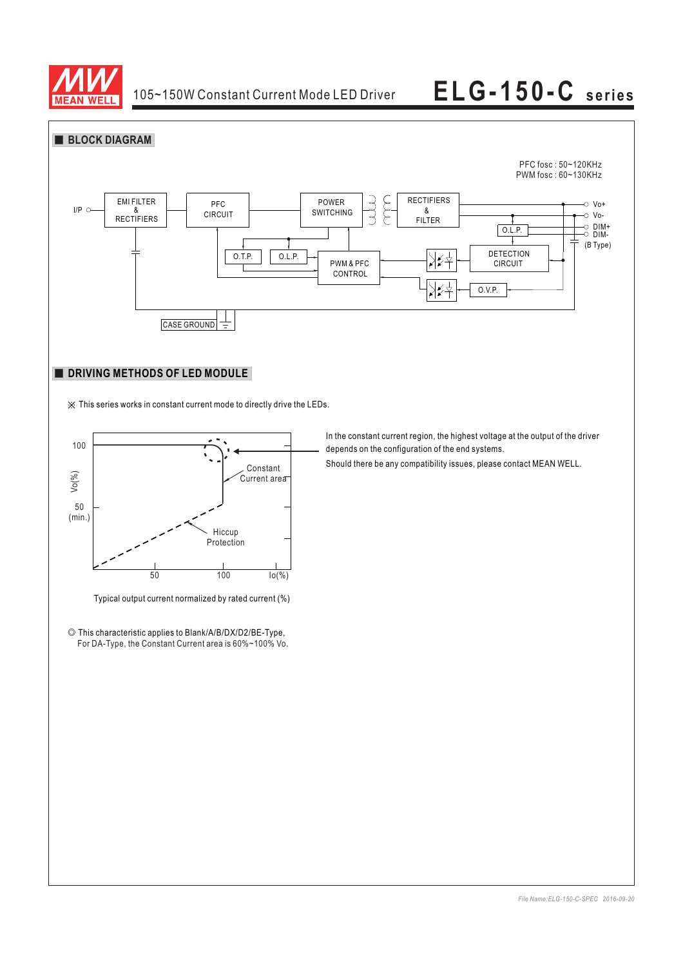



## **DRIVING METHODS OF LED MODULE**

※ This series works in constant current mode to directly drive the LEDs.



Typical output current normalized by rated current (%)

◎ This characteristic applies to Blank/A/B/DX/D2/BE-Type, For DA-Type, the Constant Current area is 60%~100% Vo. In the constant current region, the highest voltage at the output of the driver depends on the configuration of the end systems.

Should there be any compatibility issues, please contact MEAN WELL.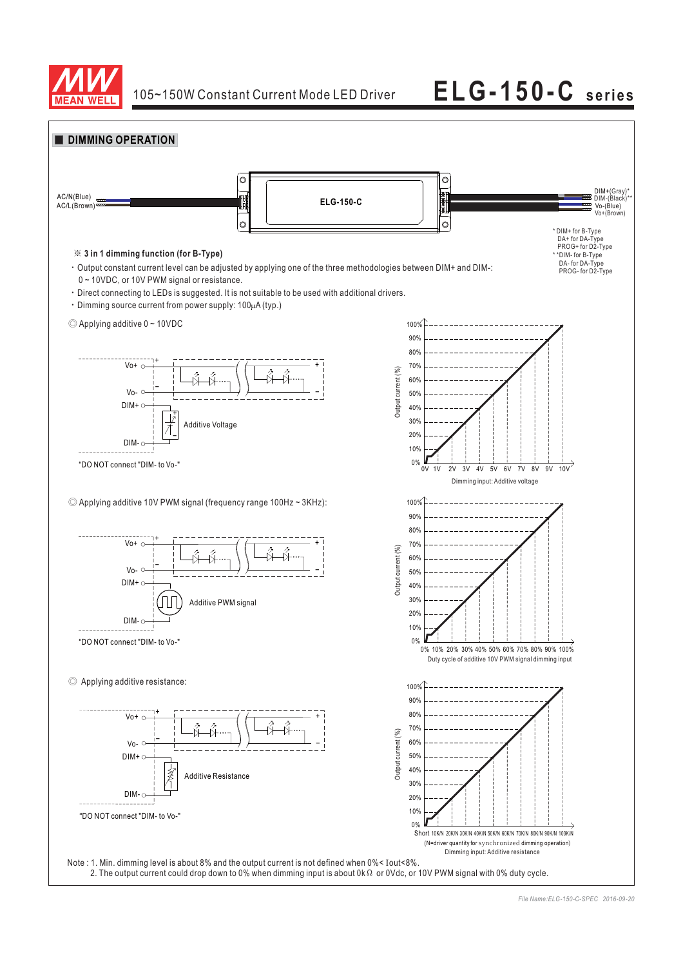

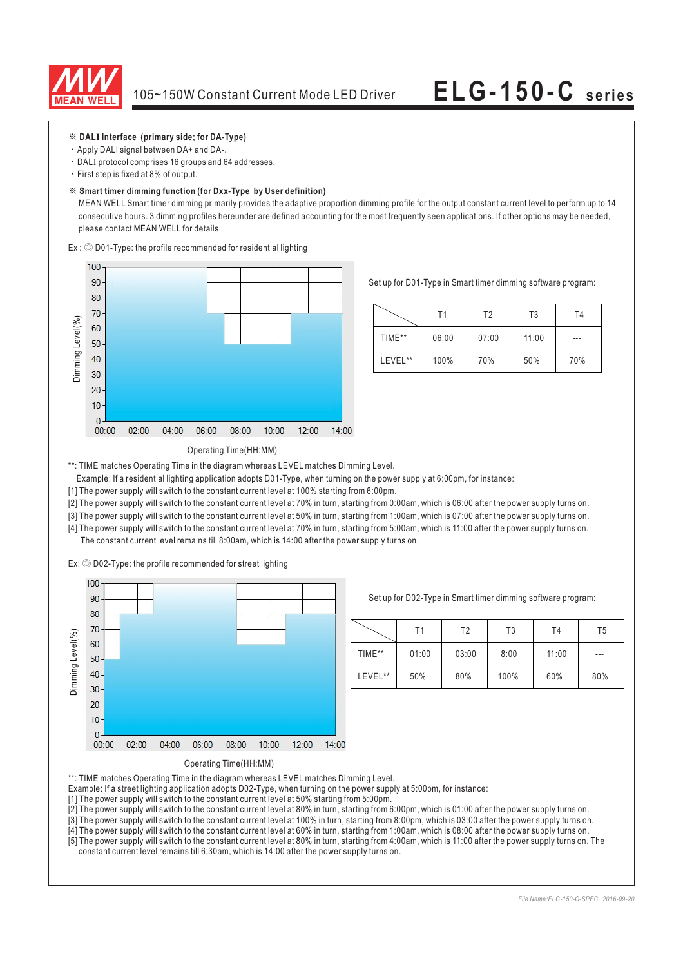

### ※ **DAL Interface (primary side; for DA-Type) I**

- Apply DALI signal between DA+ and DA-.
- $\cdot$  DALI protocol comprises 16 groups and 64 addresses.
- First step is fixed at 8% of output.

### ※ **Smart timer dimming function (for Dxx-Type by User definition)**

MEAN WELL Smart timer dimming primarily provides the adaptive proportion dimming profile for the output constant current level to perform up to 14 consecutive hours. 3 dimming profiles hereunder are defined accounting for the most frequently seen applications. If other options may be needed, please contact MEAN WELL for details.

 $Ex:$   $\odot$  D01-Type: the profile recommended for residential lighting



Set up for D01-Type in Smart timer dimming software program:

|         | Τ1    | T <sub>2</sub> | T <sub>3</sub> | T4  |
|---------|-------|----------------|----------------|-----|
| TIME**  | 06:00 | 07:00          | 11:00          | --- |
| LEVEL** | 100%  | 70%            | 50%            | 70% |

### Operating Time(HH:MM)

\*\*: TIME matches Operating Time in the diagram whereas LEVEL matches Dimming Level.

Example: If a residential lighting application adopts D01-Type, when turning on the power supply at 6:00pm, for instance:

[1] The power supply will switch to the constant current level at 100% starting from 6:00pm.

[2] The power supply will switch to the constant current level at 70% in turn, starting from 0:00am, which is 06:00 after the power supply turns on.

[3] The power supply will switch to the constant current level at 50% in turn, starting from 1:00am, which is 07:00 after the power supply turns on.

[4] The power supply will switch to the constant current level at 70% in turn, starting from 5:00am, which is 11:00 after the power supply turns on. The constant current level remains till 8:00am, which is 14:00 after the power supply turns on.

Ex:  $\odot$  D02-Type: the profile recommended for street lighting



Set up for D02-Type in Smart timer dimming software program:

|         | Τ1    | Τ2    | T3   | T <sub>4</sub> | T5    |
|---------|-------|-------|------|----------------|-------|
| TIME**  | 01:00 | 03:00 | 8:00 | 11:00          | $---$ |
| LEVEL** | 50%   | 80%   | 100% | 60%            | 80%   |

Operating Time(HH:MM)

- \*\*: TIME matches Operating Time in the diagram whereas LEVEL matches Dimming Level.
- Example: If a street lighting application adopts D02-Type, when turning on the power supply at 5:00pm, for instance:

[1] The power supply will switch to the constant current level at 50% starting from 5:00pm.

[2] The power supply will switch to the constant current level at 80% in turn, starting from 6:00pm, which is 01:00 after the power supply turns on.

[3] The power supply will switch to the constant current level at 100% in turn, starting from 8:00pm, which is 03:00 after the power supply turns on.

[4] The power supply will switch to the constant current level at 60% in turn, starting from 1:00am, which is 08:00 after the power supply turns on.

[5] The power supply will switch to the constant current level at 80% in turn, starting from 4:00am, which is 11:00 after the power supply turns on. The constant current level remains till 6:30am, which is 14:00 after the power supply turns on.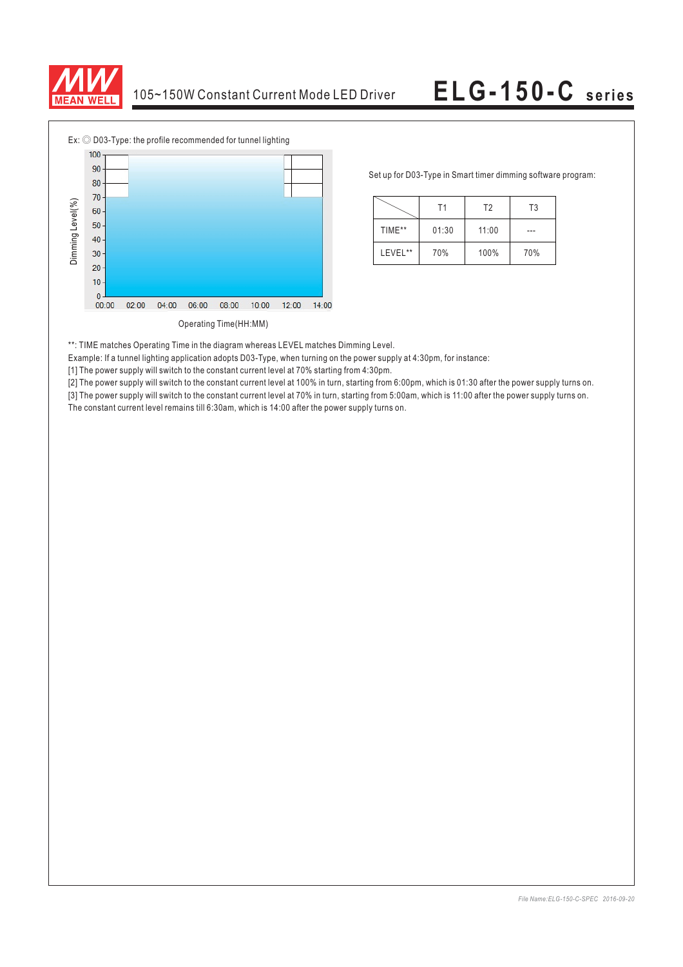



Set up for D03-Type in Smart timer dimming software program:

|         | Τ1    | T <sub>2</sub> | T3  |
|---------|-------|----------------|-----|
| TIME**  | 01:30 | 11:00          |     |
| LEVEL** | 70%   | 100%           | 70% |

\*\*: TIME matches Operating Time in the diagram whereas LEVEL matches Dimming Level.

Example: If a tunnel lighting application adopts D03-Type, when turning on the power supply at 4:30pm, for instance:

[1] The power supply will switch to the constant current level at 70% starting from 4:30pm.

[2] The power supply will switch to the constant current level at 100% in turn, starting from 6:00pm, which is 01:30 after the power supply turns on.

[3] The power supply will switch to the constant current level at 70% in turn, starting from 5:00am, which is 11:00 after the power supply turns on.<br>The constant current level remains till 6:30am, which is 14:00 after the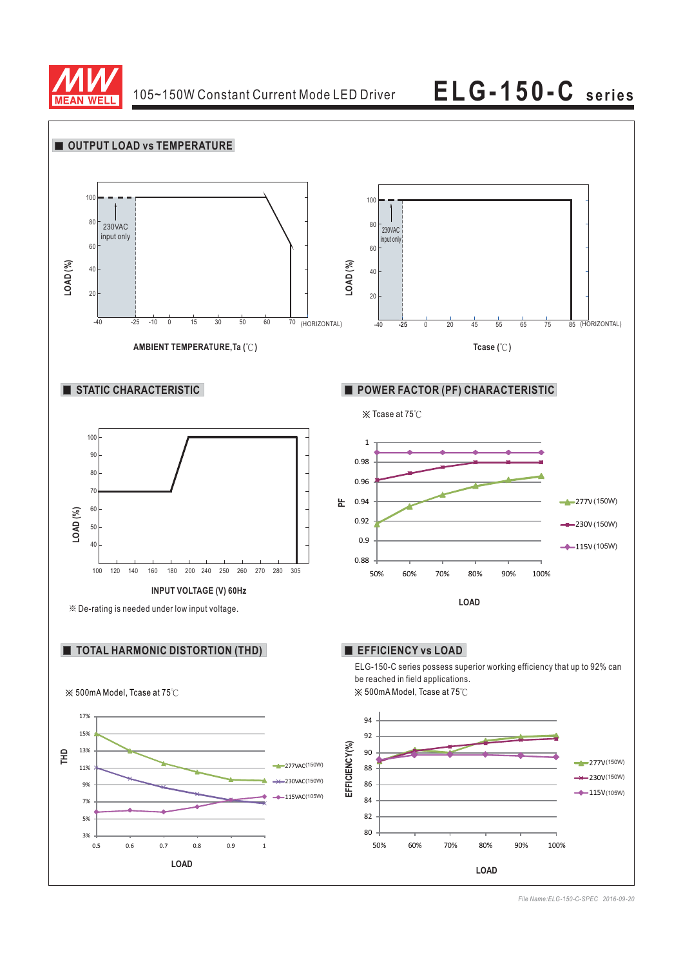

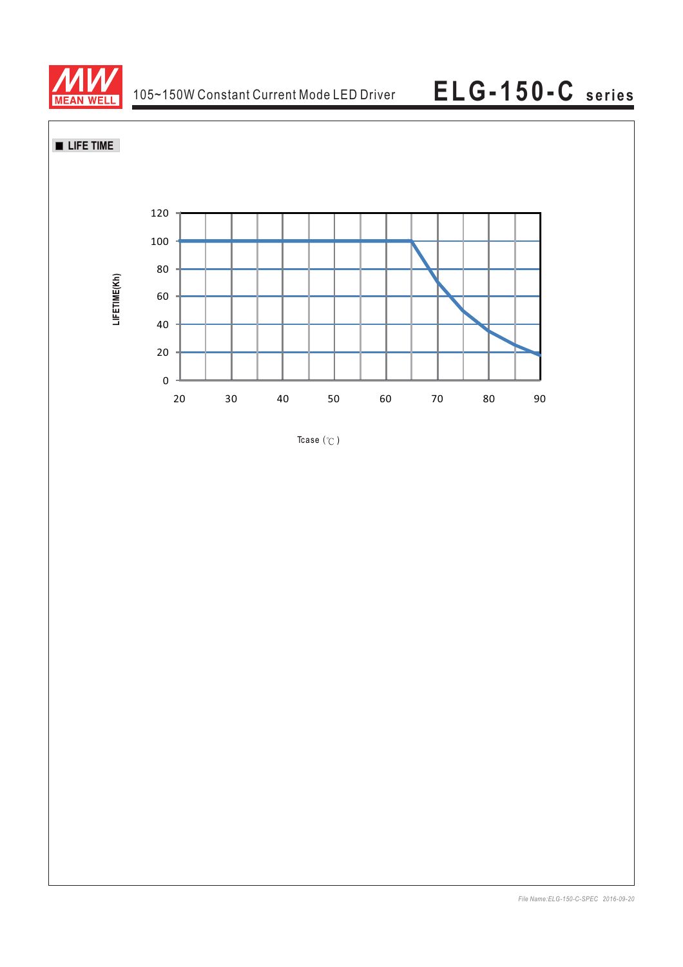



Tcase  $(°C)$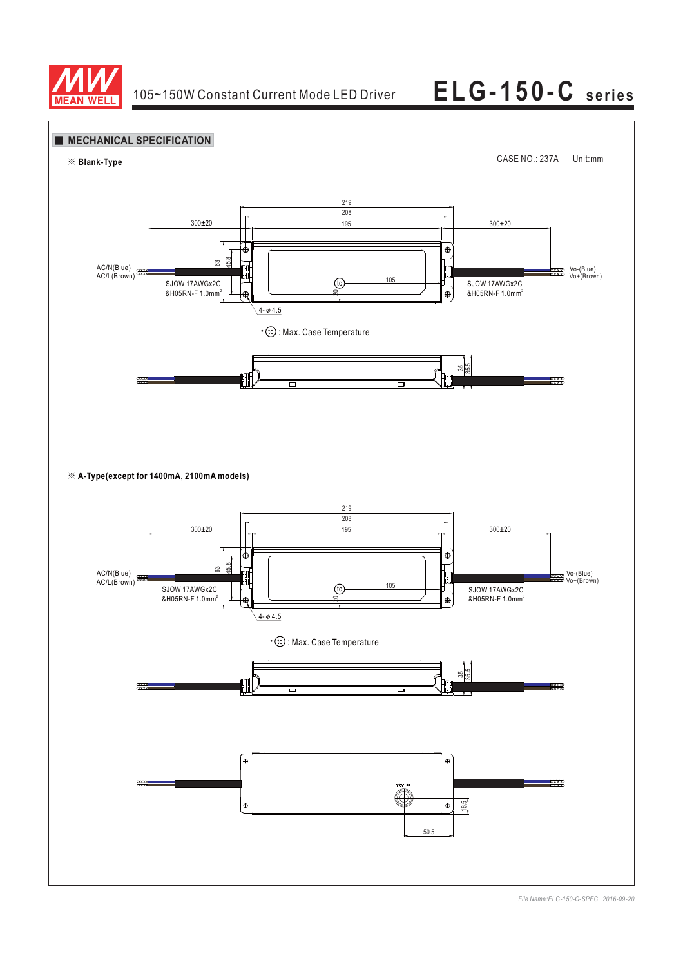

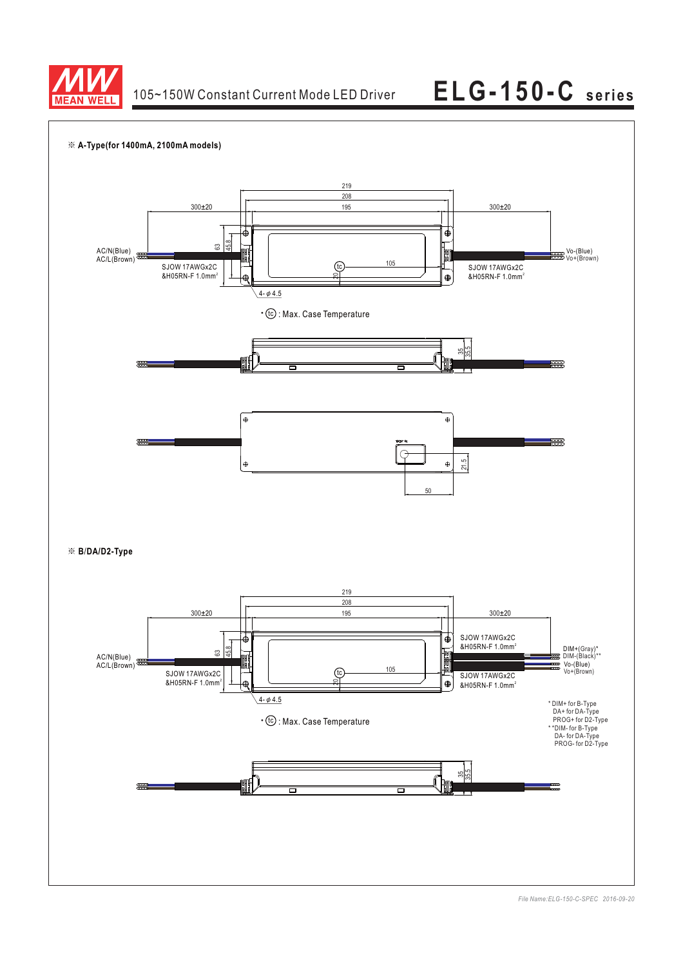

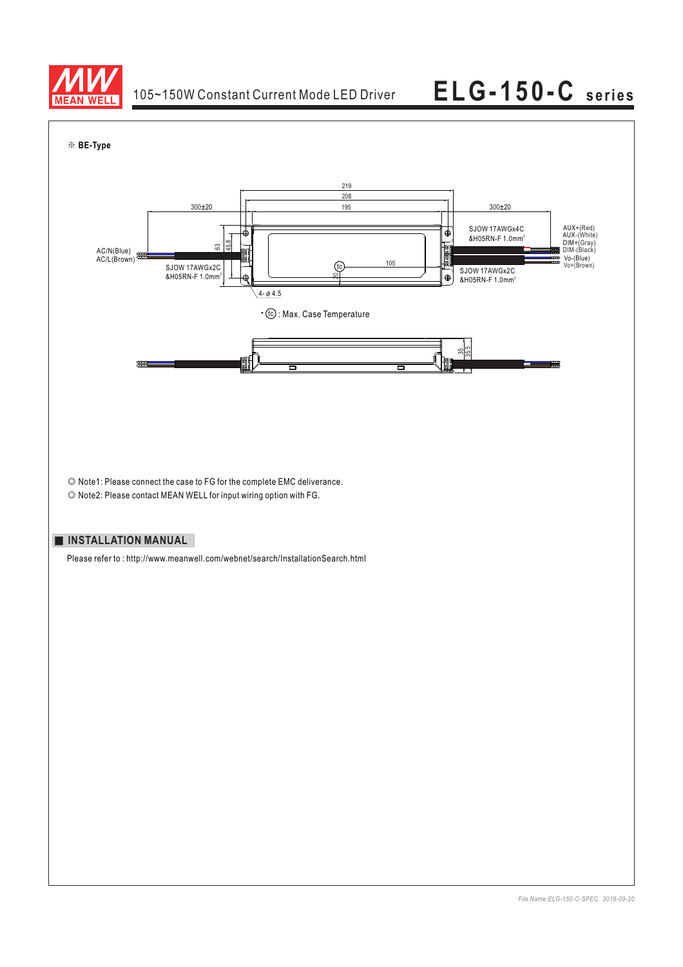